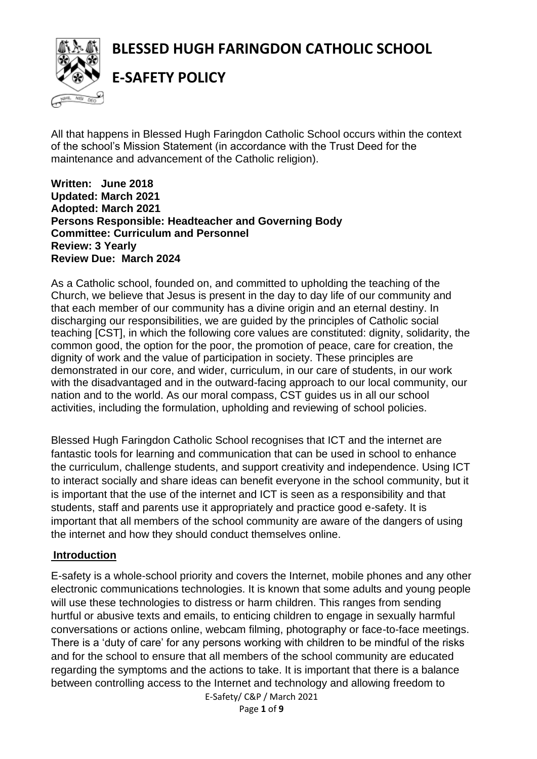# **BLESSED HUGH FARINGDON CATHOLIC SCHOOL**



**E-SAFETY POLICY**

All that happens in Blessed Hugh Faringdon Catholic School occurs within the context of the school's Mission Statement (in accordance with the Trust Deed for the maintenance and advancement of the Catholic religion).

**Written: June 2018 Updated: March 2021 Adopted: March 2021 Persons Responsible: Headteacher and Governing Body Committee: Curriculum and Personnel Review: 3 Yearly Review Due: March 2024**

As a Catholic school, founded on, and committed to upholding the teaching of the Church, we believe that Jesus is present in the day to day life of our community and that each member of our community has a divine origin and an eternal destiny. In discharging our responsibilities, we are guided by the principles of Catholic social teaching [CST], in which the following core values are constituted: dignity, solidarity, the common good, the option for the poor, the promotion of peace, care for creation, the dignity of work and the value of participation in society. These principles are demonstrated in our core, and wider, curriculum, in our care of students, in our work with the disadvantaged and in the outward-facing approach to our local community, our nation and to the world. As our moral compass, CST guides us in all our school activities, including the formulation, upholding and reviewing of school policies.

Blessed Hugh Faringdon Catholic School recognises that ICT and the internet are fantastic tools for learning and communication that can be used in school to enhance the curriculum, challenge students, and support creativity and independence. Using ICT to interact socially and share ideas can benefit everyone in the school community, but it is important that the use of the internet and ICT is seen as a responsibility and that students, staff and parents use it appropriately and practice good e-safety. It is important that all members of the school community are aware of the dangers of using the internet and how they should conduct themselves online.

#### **Introduction**

E-safety is a whole-school priority and covers the Internet, mobile phones and any other electronic communications technologies. It is known that some adults and young people will use these technologies to distress or harm children. This ranges from sending hurtful or abusive texts and emails, to enticing children to engage in sexually harmful conversations or actions online, webcam filming, photography or face-to-face meetings. There is a 'duty of care' for any persons working with children to be mindful of the risks and for the school to ensure that all members of the school community are educated regarding the symptoms and the actions to take. It is important that there is a balance between controlling access to the Internet and technology and allowing freedom to

> E-Safety/ C&P / March 2021 Page **1** of **9**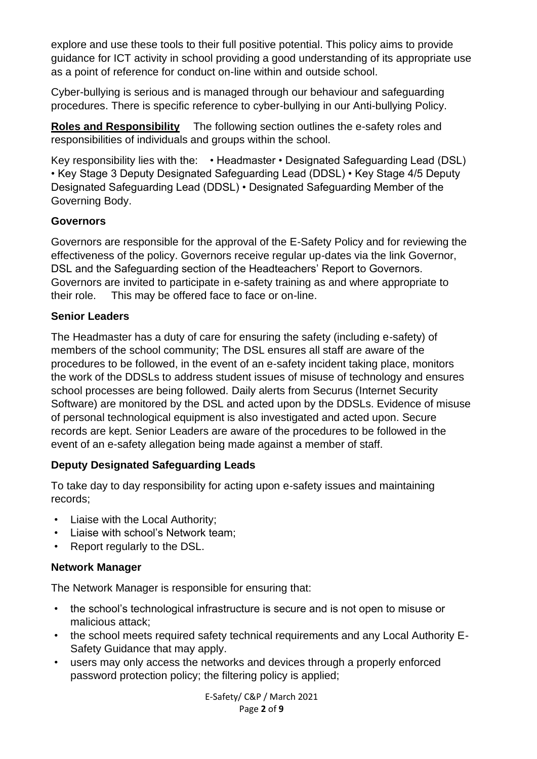explore and use these tools to their full positive potential. This policy aims to provide guidance for ICT activity in school providing a good understanding of its appropriate use as a point of reference for conduct on-line within and outside school.

Cyber-bullying is serious and is managed through our behaviour and safeguarding procedures. There is specific reference to cyber-bullying in our Anti-bullying Policy.

**Roles and Responsibility** The following section outlines the e-safety roles and responsibilities of individuals and groups within the school.

Key responsibility lies with the: • Headmaster • Designated Safeguarding Lead (DSL) • Key Stage 3 Deputy Designated Safeguarding Lead (DDSL) • Key Stage 4/5 Deputy Designated Safeguarding Lead (DDSL) • Designated Safeguarding Member of the Governing Body.

#### **Governors**

Governors are responsible for the approval of the E-Safety Policy and for reviewing the effectiveness of the policy. Governors receive regular up-dates via the link Governor, DSL and the Safeguarding section of the Headteachers' Report to Governors. Governors are invited to participate in e-safety training as and where appropriate to their role. This may be offered face to face or on-line.

#### **Senior Leaders**

The Headmaster has a duty of care for ensuring the safety (including e-safety) of members of the school community; The DSL ensures all staff are aware of the procedures to be followed, in the event of an e-safety incident taking place, monitors the work of the DDSLs to address student issues of misuse of technology and ensures school processes are being followed. Daily alerts from Securus (Internet Security Software) are monitored by the DSL and acted upon by the DDSLs. Evidence of misuse of personal technological equipment is also investigated and acted upon. Secure records are kept. Senior Leaders are aware of the procedures to be followed in the event of an e-safety allegation being made against a member of staff.

# **Deputy Designated Safeguarding Leads**

To take day to day responsibility for acting upon e-safety issues and maintaining records;

- Liaise with the Local Authority;
- Liaise with school's Network team;
- Report regularly to the DSL.

# **Network Manager**

The Network Manager is responsible for ensuring that:

- the school's technological infrastructure is secure and is not open to misuse or malicious attack;
- the school meets required safety technical requirements and any Local Authority E-Safety Guidance that may apply.
- users may only access the networks and devices through a properly enforced password protection policy; the filtering policy is applied;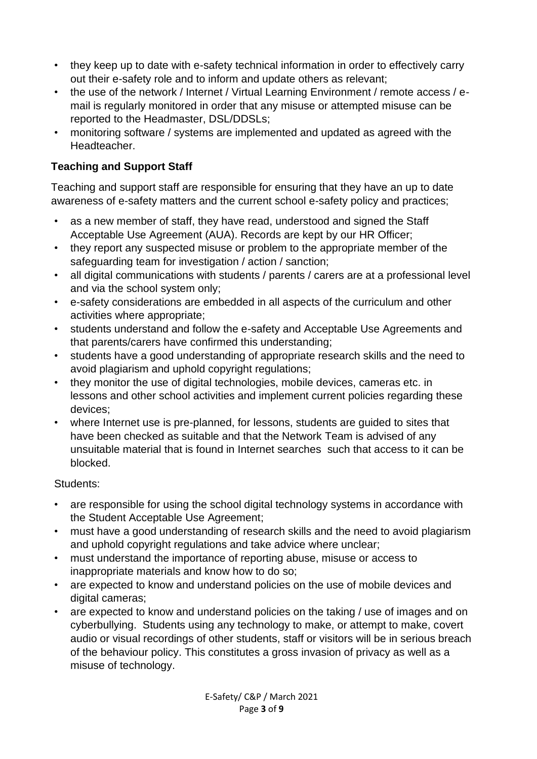- they keep up to date with e-safety technical information in order to effectively carry out their e-safety role and to inform and update others as relevant;
- the use of the network / Internet / Virtual Learning Environment / remote access / email is regularly monitored in order that any misuse or attempted misuse can be reported to the Headmaster, DSL/DDSLs;
- monitoring software / systems are implemented and updated as agreed with the Headteacher.

# **Teaching and Support Staff**

Teaching and support staff are responsible for ensuring that they have an up to date awareness of e-safety matters and the current school e-safety policy and practices;

- as a new member of staff, they have read, understood and signed the Staff Acceptable Use Agreement (AUA). Records are kept by our HR Officer;
- they report any suspected misuse or problem to the appropriate member of the safeguarding team for investigation / action / sanction;
- all digital communications with students / parents / carers are at a professional level and via the school system only;
- e-safety considerations are embedded in all aspects of the curriculum and other activities where appropriate;
- students understand and follow the e-safety and Acceptable Use Agreements and that parents/carers have confirmed this understanding;
- students have a good understanding of appropriate research skills and the need to avoid plagiarism and uphold copyright regulations;
- they monitor the use of digital technologies, mobile devices, cameras etc. in lessons and other school activities and implement current policies regarding these devices;
- where Internet use is pre-planned, for lessons, students are guided to sites that have been checked as suitable and that the Network Team is advised of any unsuitable material that is found in Internet searches such that access to it can be blocked.

#### Students:

- are responsible for using the school digital technology systems in accordance with the Student Acceptable Use Agreement;
- must have a good understanding of research skills and the need to avoid plagiarism and uphold copyright regulations and take advice where unclear;
- must understand the importance of reporting abuse, misuse or access to inappropriate materials and know how to do so;
- are expected to know and understand policies on the use of mobile devices and digital cameras:
- are expected to know and understand policies on the taking / use of images and on cyberbullying. Students using any technology to make, or attempt to make, covert audio or visual recordings of other students, staff or visitors will be in serious breach of the behaviour policy. This constitutes a gross invasion of privacy as well as a misuse of technology.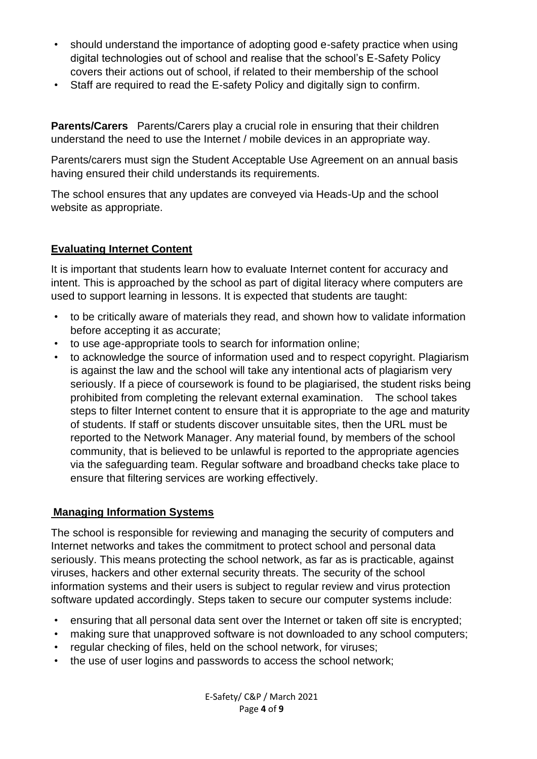- should understand the importance of adopting good e-safety practice when using digital technologies out of school and realise that the school's E-Safety Policy covers their actions out of school, if related to their membership of the school
- Staff are required to read the E-safety Policy and digitally sign to confirm.

**Parents/Carers** Parents/Carers play a crucial role in ensuring that their children understand the need to use the Internet / mobile devices in an appropriate way.

Parents/carers must sign the Student Acceptable Use Agreement on an annual basis having ensured their child understands its requirements.

The school ensures that any updates are conveyed via Heads-Up and the school website as appropriate.

# **Evaluating Internet Content**

It is important that students learn how to evaluate Internet content for accuracy and intent. This is approached by the school as part of digital literacy where computers are used to support learning in lessons. It is expected that students are taught:

- to be critically aware of materials they read, and shown how to validate information before accepting it as accurate;
- to use age-appropriate tools to search for information online;
- to acknowledge the source of information used and to respect copyright. Plagiarism is against the law and the school will take any intentional acts of plagiarism very seriously. If a piece of coursework is found to be plagiarised, the student risks being prohibited from completing the relevant external examination. The school takes steps to filter Internet content to ensure that it is appropriate to the age and maturity of students. If staff or students discover unsuitable sites, then the URL must be reported to the Network Manager. Any material found, by members of the school community, that is believed to be unlawful is reported to the appropriate agencies via the safeguarding team. Regular software and broadband checks take place to ensure that filtering services are working effectively.

#### **Managing Information Systems**

The school is responsible for reviewing and managing the security of computers and Internet networks and takes the commitment to protect school and personal data seriously. This means protecting the school network, as far as is practicable, against viruses, hackers and other external security threats. The security of the school information systems and their users is subject to regular review and virus protection software updated accordingly. Steps taken to secure our computer systems include:

- ensuring that all personal data sent over the Internet or taken off site is encrypted;
- making sure that unapproved software is not downloaded to any school computers;
- regular checking of files, held on the school network, for viruses:
- the use of user logins and passwords to access the school network;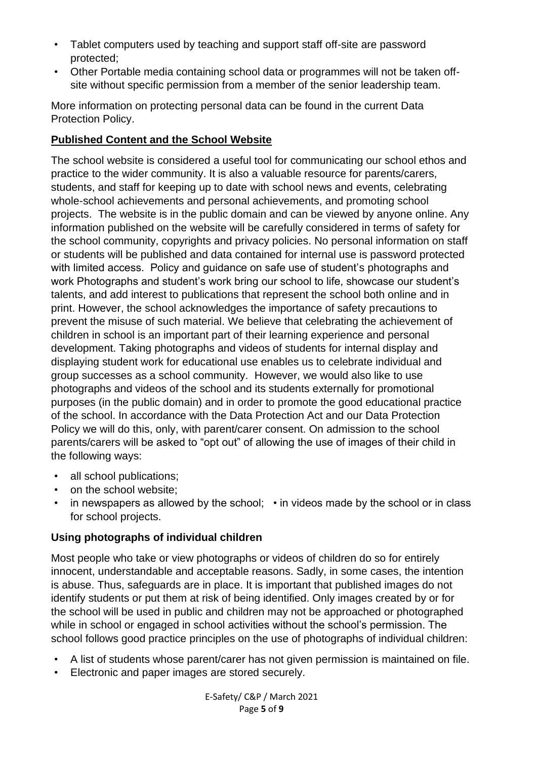- Tablet computers used by teaching and support staff off-site are password protected;
- Other Portable media containing school data or programmes will not be taken offsite without specific permission from a member of the senior leadership team.

More information on protecting personal data can be found in the current Data Protection Policy.

#### **Published Content and the School Website**

The school website is considered a useful tool for communicating our school ethos and practice to the wider community. It is also a valuable resource for parents/carers, students, and staff for keeping up to date with school news and events, celebrating whole-school achievements and personal achievements, and promoting school projects. The website is in the public domain and can be viewed by anyone online. Any information published on the website will be carefully considered in terms of safety for the school community, copyrights and privacy policies. No personal information on staff or students will be published and data contained for internal use is password protected with limited access. Policy and guidance on safe use of student's photographs and work Photographs and student's work bring our school to life, showcase our student's talents, and add interest to publications that represent the school both online and in print. However, the school acknowledges the importance of safety precautions to prevent the misuse of such material. We believe that celebrating the achievement of children in school is an important part of their learning experience and personal development. Taking photographs and videos of students for internal display and displaying student work for educational use enables us to celebrate individual and group successes as a school community. However, we would also like to use photographs and videos of the school and its students externally for promotional purposes (in the public domain) and in order to promote the good educational practice of the school. In accordance with the Data Protection Act and our Data Protection Policy we will do this, only, with parent/carer consent. On admission to the school parents/carers will be asked to "opt out" of allowing the use of images of their child in the following ways:

- all school publications:
- on the school website:
- in newspapers as allowed by the school; in videos made by the school or in class for school projects.

# **Using photographs of individual children**

Most people who take or view photographs or videos of children do so for entirely innocent, understandable and acceptable reasons. Sadly, in some cases, the intention is abuse. Thus, safeguards are in place. It is important that published images do not identify students or put them at risk of being identified. Only images created by or for the school will be used in public and children may not be approached or photographed while in school or engaged in school activities without the school's permission. The school follows good practice principles on the use of photographs of individual children:

- A list of students whose parent/carer has not given permission is maintained on file.
- Electronic and paper images are stored securely.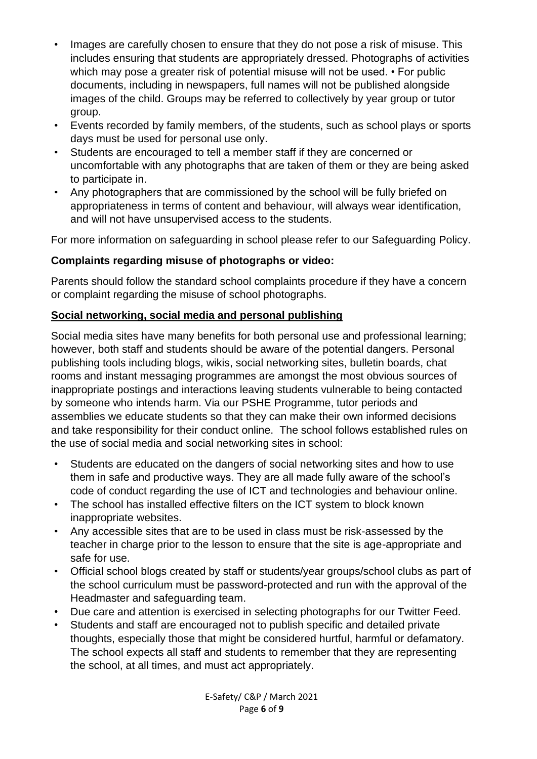- Images are carefully chosen to ensure that they do not pose a risk of misuse. This includes ensuring that students are appropriately dressed. Photographs of activities which may pose a greater risk of potential misuse will not be used. • For public documents, including in newspapers, full names will not be published alongside images of the child. Groups may be referred to collectively by year group or tutor group.
- Events recorded by family members, of the students, such as school plays or sports days must be used for personal use only.
- Students are encouraged to tell a member staff if they are concerned or uncomfortable with any photographs that are taken of them or they are being asked to participate in.
- Any photographers that are commissioned by the school will be fully briefed on appropriateness in terms of content and behaviour, will always wear identification, and will not have unsupervised access to the students.

For more information on safeguarding in school please refer to our Safeguarding Policy.

# **Complaints regarding misuse of photographs or video:**

Parents should follow the standard school complaints procedure if they have a concern or complaint regarding the misuse of school photographs.

# **Social networking, social media and personal publishing**

Social media sites have many benefits for both personal use and professional learning; however, both staff and students should be aware of the potential dangers. Personal publishing tools including blogs, wikis, social networking sites, bulletin boards, chat rooms and instant messaging programmes are amongst the most obvious sources of inappropriate postings and interactions leaving students vulnerable to being contacted by someone who intends harm. Via our PSHE Programme, tutor periods and assemblies we educate students so that they can make their own informed decisions and take responsibility for their conduct online. The school follows established rules on the use of social media and social networking sites in school:

- Students are educated on the dangers of social networking sites and how to use them in safe and productive ways. They are all made fully aware of the school's code of conduct regarding the use of ICT and technologies and behaviour online.
- The school has installed effective filters on the ICT system to block known inappropriate websites.
- Any accessible sites that are to be used in class must be risk-assessed by the teacher in charge prior to the lesson to ensure that the site is age-appropriate and safe for use.
- Official school blogs created by staff or students/year groups/school clubs as part of the school curriculum must be password-protected and run with the approval of the Headmaster and safeguarding team.
- Due care and attention is exercised in selecting photographs for our Twitter Feed.
- Students and staff are encouraged not to publish specific and detailed private thoughts, especially those that might be considered hurtful, harmful or defamatory. The school expects all staff and students to remember that they are representing the school, at all times, and must act appropriately.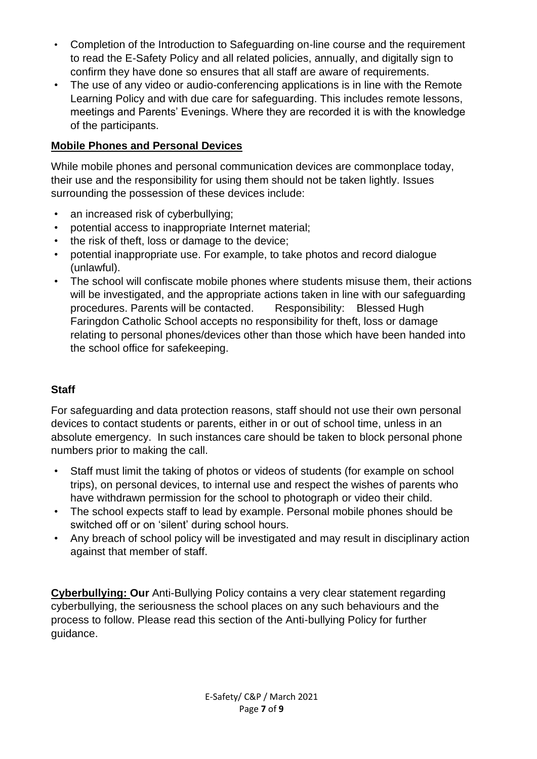- Completion of the Introduction to Safeguarding on-line course and the requirement to read the E-Safety Policy and all related policies, annually, and digitally sign to confirm they have done so ensures that all staff are aware of requirements.
- The use of any video or audio-conferencing applications is in line with the Remote Learning Policy and with due care for safeguarding. This includes remote lessons, meetings and Parents' Evenings. Where they are recorded it is with the knowledge of the participants.

# **Mobile Phones and Personal Devices**

While mobile phones and personal communication devices are commonplace today, their use and the responsibility for using them should not be taken lightly. Issues surrounding the possession of these devices include:

- an increased risk of cyberbullying;
- potential access to inappropriate Internet material;
- the risk of theft, loss or damage to the device;
- potential inappropriate use. For example, to take photos and record dialogue (unlawful).
- The school will confiscate mobile phones where students misuse them, their actions will be investigated, and the appropriate actions taken in line with our safeguarding procedures. Parents will be contacted. Responsibility: Blessed Hugh Faringdon Catholic School accepts no responsibility for theft, loss or damage relating to personal phones/devices other than those which have been handed into the school office for safekeeping.

# **Staff**

For safeguarding and data protection reasons, staff should not use their own personal devices to contact students or parents, either in or out of school time, unless in an absolute emergency. In such instances care should be taken to block personal phone numbers prior to making the call.

- Staff must limit the taking of photos or videos of students (for example on school trips), on personal devices, to internal use and respect the wishes of parents who have withdrawn permission for the school to photograph or video their child.
- The school expects staff to lead by example. Personal mobile phones should be switched off or on 'silent' during school hours.
- Any breach of school policy will be investigated and may result in disciplinary action against that member of staff.

**Cyberbullying: Our** Anti-Bullying Policy contains a very clear statement regarding cyberbullying, the seriousness the school places on any such behaviours and the process to follow. Please read this section of the Anti-bullying Policy for further guidance.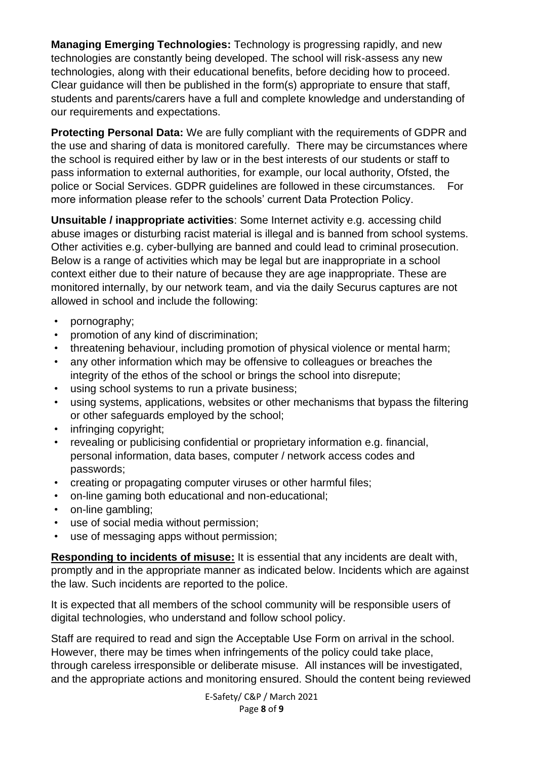**Managing Emerging Technologies:** Technology is progressing rapidly, and new technologies are constantly being developed. The school will risk-assess any new technologies, along with their educational benefits, before deciding how to proceed. Clear guidance will then be published in the form(s) appropriate to ensure that staff, students and parents/carers have a full and complete knowledge and understanding of our requirements and expectations.

**Protecting Personal Data:** We are fully compliant with the requirements of GDPR and the use and sharing of data is monitored carefully. There may be circumstances where the school is required either by law or in the best interests of our students or staff to pass information to external authorities, for example, our local authority, Ofsted, the police or Social Services. GDPR guidelines are followed in these circumstances. For more information please refer to the schools' current Data Protection Policy.

**Unsuitable / inappropriate activities**: Some Internet activity e.g. accessing child abuse images or disturbing racist material is illegal and is banned from school systems. Other activities e.g. cyber-bullying are banned and could lead to criminal prosecution. Below is a range of activities which may be legal but are inappropriate in a school context either due to their nature of because they are age inappropriate. These are monitored internally, by our network team, and via the daily Securus captures are not allowed in school and include the following:

- pornography;
- promotion of any kind of discrimination;
- threatening behaviour, including promotion of physical violence or mental harm;
- any other information which may be offensive to colleagues or breaches the integrity of the ethos of the school or brings the school into disrepute;
- using school systems to run a private business;
- using systems, applications, websites or other mechanisms that bypass the filtering or other safeguards employed by the school;
- infringing copyright;
- revealing or publicising confidential or proprietary information e.g. financial, personal information, data bases, computer / network access codes and passwords;
- creating or propagating computer viruses or other harmful files;
- on-line gaming both educational and non-educational;
- on-line gambling;
- use of social media without permission;
- use of messaging apps without permission;

**Responding to incidents of misuse:** It is essential that any incidents are dealt with, promptly and in the appropriate manner as indicated below. Incidents which are against the law. Such incidents are reported to the police.

It is expected that all members of the school community will be responsible users of digital technologies, who understand and follow school policy.

Staff are required to read and sign the Acceptable Use Form on arrival in the school. However, there may be times when infringements of the policy could take place, through careless irresponsible or deliberate misuse. All instances will be investigated, and the appropriate actions and monitoring ensured. Should the content being reviewed

> E-Safety/ C&P / March 2021 Page **8** of **9**